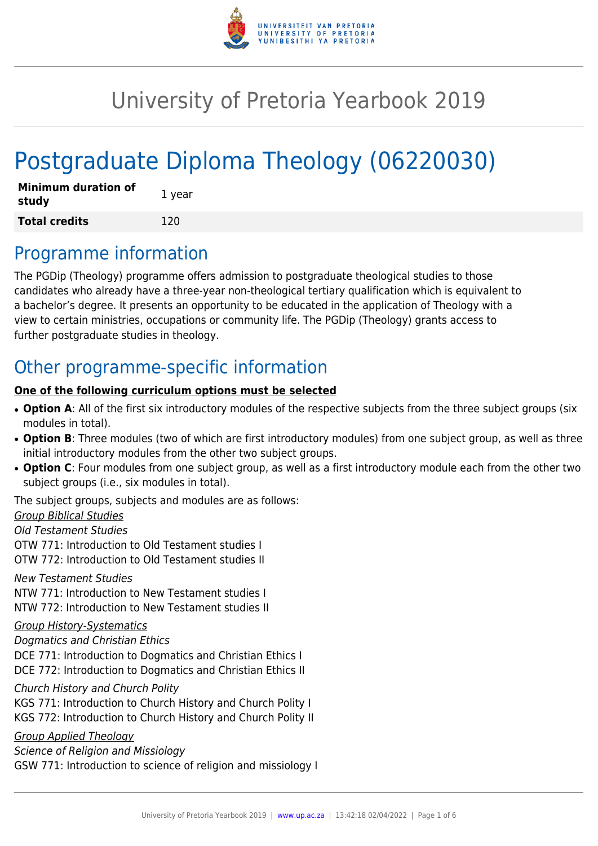

# University of Pretoria Yearbook 2019

# Postgraduate Diploma Theology (06220030)

| <b>Minimum duration of</b><br>study | 1 year |
|-------------------------------------|--------|
| <b>Total credits</b>                | 120    |

# Programme information

The PGDip (Theology) programme offers admission to postgraduate theological studies to those candidates who already have a three-year non-theological tertiary qualification which is equivalent to a bachelor's degree. It presents an opportunity to be educated in the application of Theology with a view to certain ministries, occupations or community life. The PGDip (Theology) grants access to further postgraduate studies in theology.

# Other programme-specific information

### **One of the following curriculum options must be selected**

- Option A: All of the first six introductory modules of the respective subjects from the three subject groups (six modules in total).
- Option B: Three modules (two of which are first introductory modules) from one subject group, as well as three initial introductory modules from the other two subject groups.
- Option C: Four modules from one subject group, as well as a first introductory module each from the other two subject groups (i.e., six modules in total).

The subject groups, subjects and modules are as follows:

Group Biblical Studies

Old Testament Studies

OTW 771: Introduction to Old Testament studies I OTW 772: Introduction to Old Testament studies II

New Testament Studies

NTW 771: Introduction to New Testament studies I NTW 772: Introduction to New Testament studies II

### Group History-Systematics

Dogmatics and Christian Ethics DCE 771: Introduction to Dogmatics and Christian Ethics I DCE 772: Introduction to Dogmatics and Christian Ethics II

Church History and Church Polity

KGS 771: Introduction to Church History and Church Polity I

KGS 772: Introduction to Church History and Church Polity II

Group Applied Theology

Science of Religion and Missiology GSW 771: Introduction to science of religion and missiology I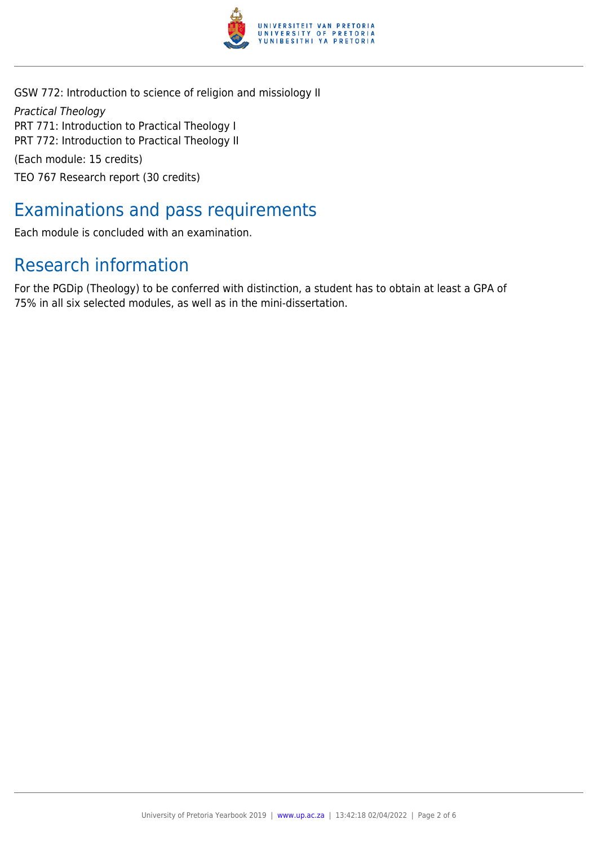

GSW 772: Introduction to science of religion and missiology II Practical Theology PRT 771: Introduction to Practical Theology I PRT 772: Introduction to Practical Theology II (Each module: 15 credits) TEO 767 Research report (30 credits)

# Examinations and pass requirements

Each module is concluded with an examination.

# Research information

For the PGDip (Theology) to be conferred with distinction, a student has to obtain at least a GPA of 75% in all six selected modules, as well as in the mini-dissertation.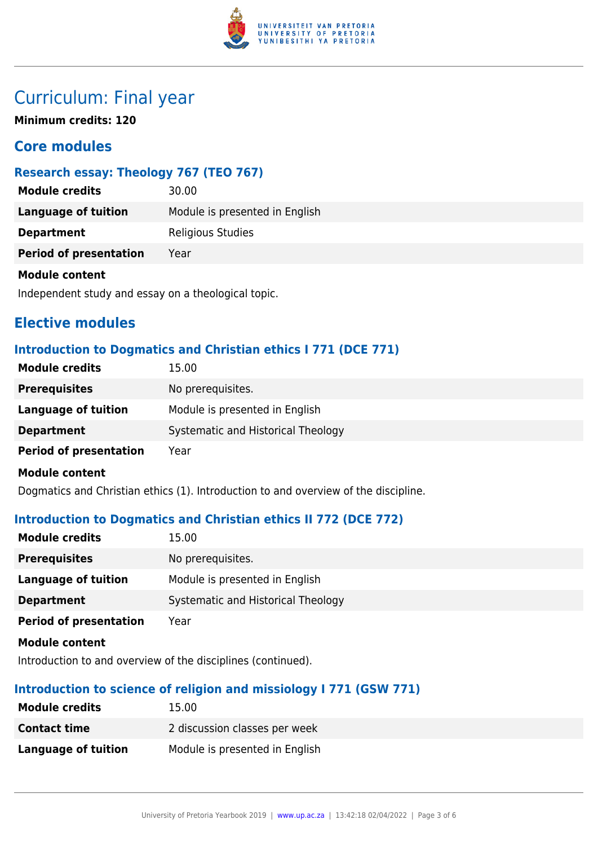

# Curriculum: Final year

**Minimum credits: 120**

# **Core modules**

# **Research essay: Theology 767 (TEO 767)**

| <b>Module credits</b>         | 30.00                          |
|-------------------------------|--------------------------------|
| Language of tuition           | Module is presented in English |
| <b>Department</b>             | <b>Religious Studies</b>       |
| <b>Period of presentation</b> | Year                           |
| <b>Module content</b>         |                                |

Independent study and essay on a theological topic.

# **Elective modules**

# **Introduction to Dogmatics and Christian ethics I 771 (DCE 771)**

| <b>Module credits</b>         | 15.00                              |
|-------------------------------|------------------------------------|
| <b>Prerequisites</b>          | No prerequisites.                  |
| Language of tuition           | Module is presented in English     |
| <b>Department</b>             | Systematic and Historical Theology |
| <b>Period of presentation</b> | Year                               |
| <b>Module content</b>         |                                    |

Dogmatics and Christian ethics (1). Introduction to and overview of the discipline.

### **Introduction to Dogmatics and Christian ethics II 772 (DCE 772)**

| <b>Module credits</b>         | 15.00                              |
|-------------------------------|------------------------------------|
| <b>Prerequisites</b>          | No prerequisites.                  |
| Language of tuition           | Module is presented in English     |
| <b>Department</b>             | Systematic and Historical Theology |
| <b>Period of presentation</b> | Year                               |
| <b>Module content</b>         |                                    |

Introduction to and overview of the disciplines (continued).

### **Introduction to science of religion and missiology I 771 (GSW 771)**

| <b>Module credits</b> | 15.00                          |
|-----------------------|--------------------------------|
| <b>Contact time</b>   | 2 discussion classes per week  |
| Language of tuition   | Module is presented in English |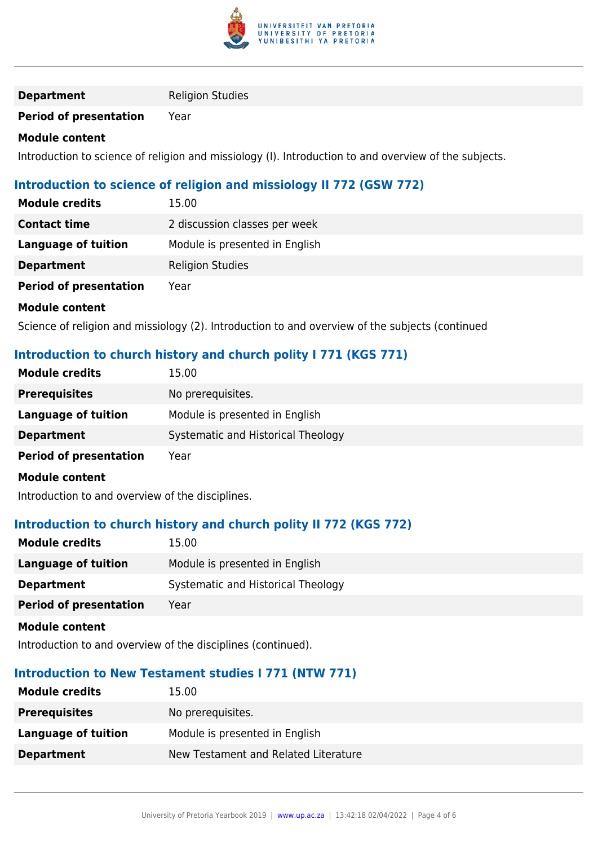

#### **Department** Religion Studies

# **Period of presentation** Year

#### **Module content**

Introduction to science of religion and missiology (I). Introduction to and overview of the subjects.

### **Introduction to science of religion and missiology II 772 (GSW 772)**

| <b>Module credits</b>         | 15.00                          |
|-------------------------------|--------------------------------|
| <b>Contact time</b>           | 2 discussion classes per week  |
| Language of tuition           | Module is presented in English |
| <b>Department</b>             | <b>Religion Studies</b>        |
| <b>Period of presentation</b> | Year                           |
| <b>Module content</b>         |                                |

Science of religion and missiology (2). Introduction to and overview of the subjects (continued

## **Introduction to church history and church polity I 771 (KGS 771)**

| <b>Module credits</b>         | 15.00                              |
|-------------------------------|------------------------------------|
| <b>Prerequisites</b>          | No prerequisites.                  |
| Language of tuition           | Module is presented in English     |
| <b>Department</b>             | Systematic and Historical Theology |
| <b>Period of presentation</b> | Year                               |
| <b>Module content</b>         |                                    |

Introduction to and overview of the disciplines.

#### **Introduction to church history and church polity II 772 (KGS 772)**

| <b>Module credits</b>         | 15.00                              |
|-------------------------------|------------------------------------|
| <b>Language of tuition</b>    | Module is presented in English     |
| <b>Department</b>             | Systematic and Historical Theology |
| <b>Period of presentation</b> | Year                               |
|                               |                                    |

**Module content**

Introduction to and overview of the disciplines (continued).

# **Introduction to New Testament studies I 771 (NTW 771)**

| <b>Module credits</b> | 15.00                                |
|-----------------------|--------------------------------------|
| <b>Prerequisites</b>  | No prerequisites.                    |
| Language of tuition   | Module is presented in English       |
| <b>Department</b>     | New Testament and Related Literature |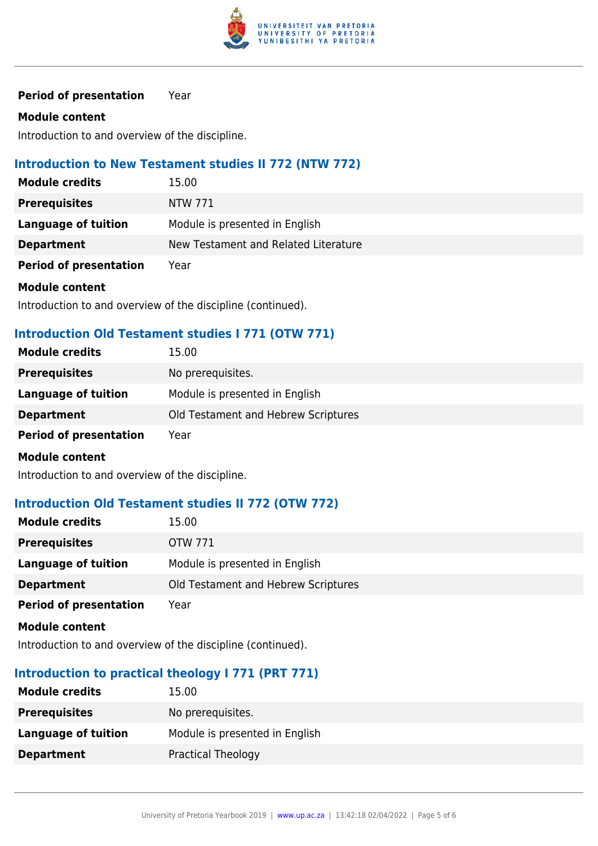

**Period of presentation** Year

#### **Module content**

Introduction to and overview of the discipline.

#### **Introduction to New Testament studies II 772 (NTW 772)**

| <b>Module credits</b>         | 15.00                                |
|-------------------------------|--------------------------------------|
| <b>Prerequisites</b>          | NTW 771                              |
| Language of tuition           | Module is presented in English       |
| <b>Department</b>             | New Testament and Related Literature |
| <b>Period of presentation</b> | Year                                 |
| Module content                |                                      |

Introduction to and overview of the discipline (continued).

#### **Introduction Old Testament studies I 771 (OTW 771)**

| 15.00                               |
|-------------------------------------|
| No prerequisites.                   |
| Module is presented in English      |
| Old Testament and Hebrew Scriptures |
| Year                                |
|                                     |

#### **Module content**

Introduction to and overview of the discipline.

#### **Introduction Old Testament studies II 772 (OTW 772)**

| <b>Module credits</b>         | 15.00                               |
|-------------------------------|-------------------------------------|
| <b>Prerequisites</b>          | OTW 771                             |
| Language of tuition           | Module is presented in English      |
| <b>Department</b>             | Old Testament and Hebrew Scriptures |
| <b>Period of presentation</b> | Year                                |

**Module content**

Introduction to and overview of the discipline (continued).

#### **Introduction to practical theology I 771 (PRT 771)**

| <b>Module credits</b> | 15.00                          |
|-----------------------|--------------------------------|
| <b>Prerequisites</b>  | No prerequisites.              |
| Language of tuition   | Module is presented in English |
| <b>Department</b>     | <b>Practical Theology</b>      |